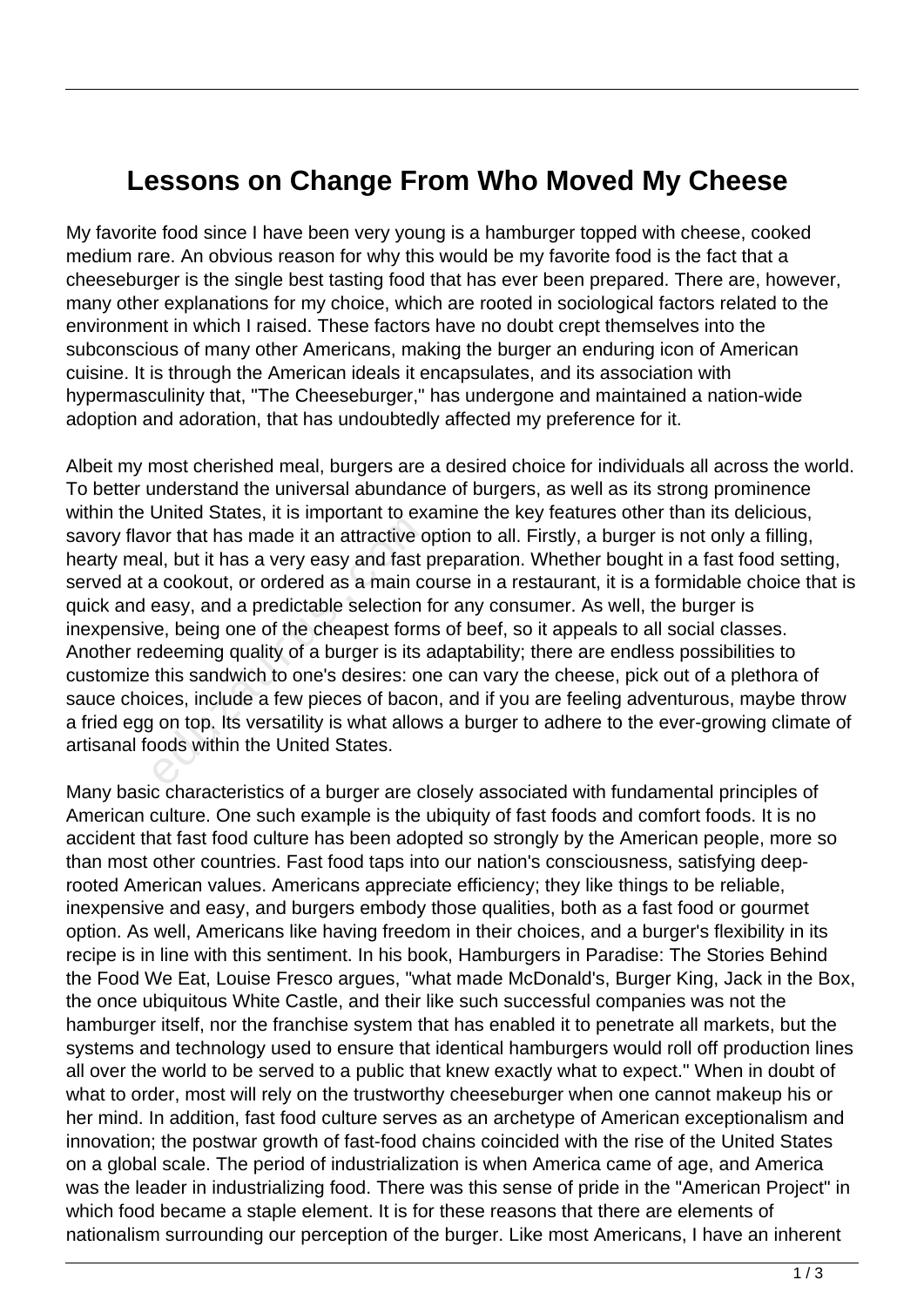## **Lessons on Change From Who Moved My Cheese**

My favorite food since I have been very young is a hamburger topped with cheese, cooked medium rare. An obvious reason for why this would be my favorite food is the fact that a cheeseburger is the single best tasting food that has ever been prepared. There are, however, many other explanations for my choice, which are rooted in sociological factors related to the environment in which I raised. These factors have no doubt crept themselves into the subconscious of many other Americans, making the burger an enduring icon of American cuisine. It is through the American ideals it encapsulates, and its association with hypermasculinity that, "The Cheeseburger," has undergone and maintained a nation-wide adoption and adoration, that has undoubtedly affected my preference for it.

Albeit my most cherished meal, burgers are a desired choice for individuals all across the world. To better understand the universal abundance of burgers, as well as its strong prominence within the United States, it is important to examine the key features other than its delicious, savory flavor that has made it an attractive option to all. Firstly, a burger is not only a filling, hearty meal, but it has a very easy and fast preparation. Whether bought in a fast food setting, served at a cookout, or ordered as a main course in a restaurant, it is a formidable choice that is quick and easy, and a predictable selection for any consumer. As well, the burger is inexpensive, being one of the cheapest forms of beef, so it appeals to all social classes. Another redeeming quality of a burger is its adaptability; there are endless possibilities to customize this sandwich to one's desires: one can vary the cheese, pick out of a plethora of sauce choices, include a few pieces of bacon, and if you are feeling adventurous, maybe throw a fried egg on top. Its versatility is what allows a burger to adhere to the ever-growing climate of artisanal foods within the United States. France, the imperfantative of<br>or that has made it an attractive consider that has a very easy and fast p<br>a cookout, or ordered as a main co<br>easy, and a predictable selection is<br>requested form<br>deeming quality of a burger is

Many basic characteristics of a burger are closely associated with fundamental principles of American culture. One such example is the ubiquity of fast foods and comfort foods. It is no accident that fast food culture has been adopted so strongly by the American people, more so than most other countries. Fast food taps into our nation's consciousness, satisfying deeprooted American values. Americans appreciate efficiency; they like things to be reliable, inexpensive and easy, and burgers embody those qualities, both as a fast food or gourmet option. As well, Americans like having freedom in their choices, and a burger's flexibility in its recipe is in line with this sentiment. In his book, Hamburgers in Paradise: The Stories Behind the Food We Eat, Louise Fresco argues, "what made McDonald's, Burger King, Jack in the Box, the once ubiquitous White Castle, and their like such successful companies was not the hamburger itself, nor the franchise system that has enabled it to penetrate all markets, but the systems and technology used to ensure that identical hamburgers would roll off production lines all over the world to be served to a public that knew exactly what to expect." When in doubt of what to order, most will rely on the trustworthy cheeseburger when one cannot makeup his or her mind. In addition, fast food culture serves as an archetype of American exceptionalism and innovation; the postwar growth of fast-food chains coincided with the rise of the United States on a global scale. The period of industrialization is when America came of age, and America was the leader in industrializing food. There was this sense of pride in the "American Project" in which food became a staple element. It is for these reasons that there are elements of nationalism surrounding our perception of the burger. Like most Americans, I have an inherent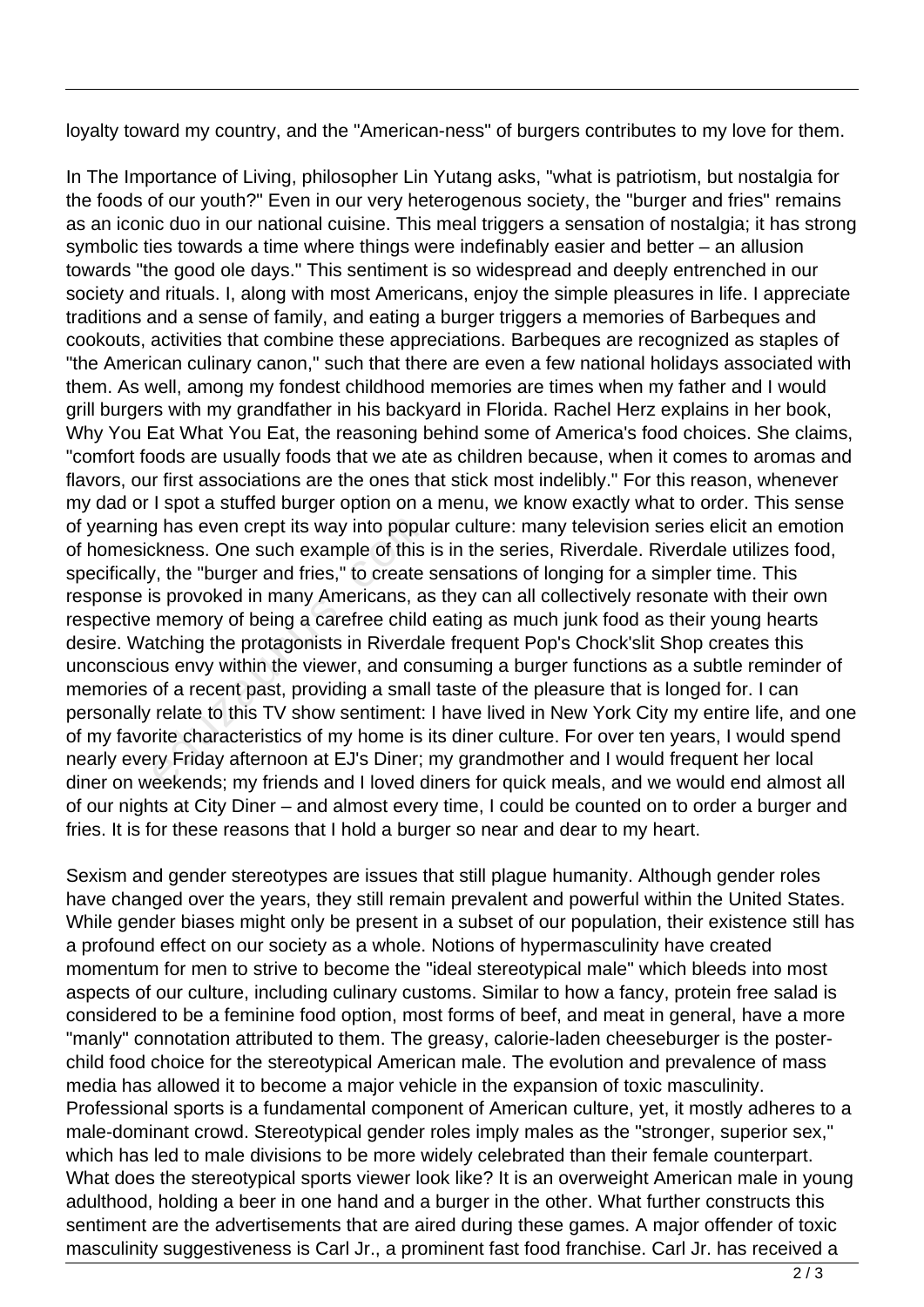loyalty toward my country, and the "American-ness" of burgers contributes to my love for them.

In The Importance of Living, philosopher Lin Yutang asks, "what is patriotism, but nostalgia for the foods of our youth?" Even in our very heterogenous society, the "burger and fries" remains as an iconic duo in our national cuisine. This meal triggers a sensation of nostalgia; it has strong symbolic ties towards a time where things were indefinably easier and better – an allusion towards "the good ole days." This sentiment is so widespread and deeply entrenched in our society and rituals. I, along with most Americans, enjoy the simple pleasures in life. I appreciate traditions and a sense of family, and eating a burger triggers a memories of Barbeques and cookouts, activities that combine these appreciations. Barbeques are recognized as staples of "the American culinary canon," such that there are even a few national holidays associated with them. As well, among my fondest childhood memories are times when my father and I would grill burgers with my grandfather in his backyard in Florida. Rachel Herz explains in her book, Why You Eat What You Eat, the reasoning behind some of America's food choices. She claims, "comfort foods are usually foods that we ate as children because, when it comes to aromas and flavors, our first associations are the ones that stick most indelibly." For this reason, whenever my dad or I spot a stuffed burger option on a menu, we know exactly what to order. This sense of yearning has even crept its way into popular culture: many television series elicit an emotion of homesickness. One such example of this is in the series, Riverdale. Riverdale utilizes food, specifically, the "burger and fries," to create sensations of longing for a simpler time. This response is provoked in many Americans, as they can all collectively resonate with their own respective memory of being a carefree child eating as much junk food as their young hearts desire. Watching the protagonists in Riverdale frequent Pop's Chock'slit Shop creates this unconscious envy within the viewer, and consuming a burger functions as a subtle reminder of memories of a recent past, providing a small taste of the pleasure that is longed for. I can personally relate to this TV show sentiment: I have lived in New York City my entire life, and one of my favorite characteristics of my home is its diner culture. For over ten years, I would spend nearly every Friday afternoon at EJ's Diner; my grandmother and I would frequent her local diner on weekends; my friends and I loved diners for quick meals, and we would end almost all of our nights at City Diner – and almost every time, I could be counted on to order a burger and fries. It is for these reasons that I hold a burger so near and dear to my heart. g has even crept its way into popu<br>
ckness. One such example of this<br>
, the "burger and fries," to create<br>
s provoked in many Americans, a<br>
memory of being a carefree child<br>
ttching the protagonists in Riverda<br>
us envy wit

Sexism and gender stereotypes are issues that still plague humanity. Although gender roles have changed over the years, they still remain prevalent and powerful within the United States. While gender biases might only be present in a subset of our population, their existence still has a profound effect on our society as a whole. Notions of hypermasculinity have created momentum for men to strive to become the "ideal stereotypical male" which bleeds into most aspects of our culture, including culinary customs. Similar to how a fancy, protein free salad is considered to be a feminine food option, most forms of beef, and meat in general, have a more "manly" connotation attributed to them. The greasy, calorie-laden cheeseburger is the posterchild food choice for the stereotypical American male. The evolution and prevalence of mass media has allowed it to become a major vehicle in the expansion of toxic masculinity. Professional sports is a fundamental component of American culture, yet, it mostly adheres to a male-dominant crowd. Stereotypical gender roles imply males as the "stronger, superior sex," which has led to male divisions to be more widely celebrated than their female counterpart. What does the stereotypical sports viewer look like? It is an overweight American male in young adulthood, holding a beer in one hand and a burger in the other. What further constructs this sentiment are the advertisements that are aired during these games. A major offender of toxic masculinity suggestiveness is Carl Jr., a prominent fast food franchise. Carl Jr. has received a